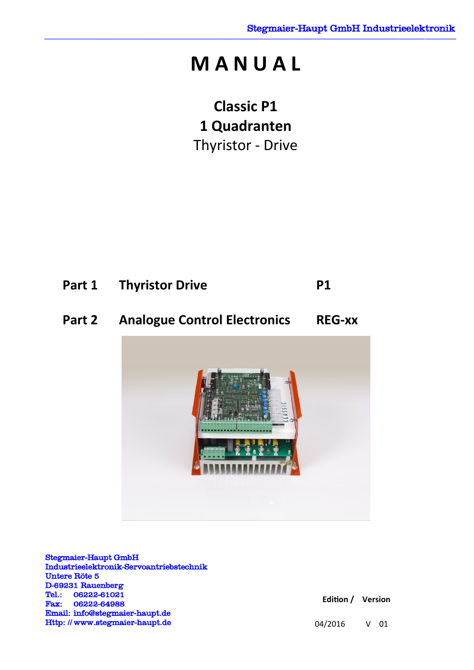# **M A N U A L**

**Classic P1 1 Quadranten**  Thyristor - Drive

| <b>Part 1 Thyristor Drive</b> | <b>P1</b> |
|-------------------------------|-----------|
|                               |           |

# **Part 2 Analogue Control Electronics REG-xx**



Stegmaier-Haupt GmbH Industrieelektronik-Servoantriebstechnik Untere Röte 5 D-69231 Rauenberg Tel.: 06222-61021 Fax: 06222-64988 Email: [info@stegmaier-haupt.de](mailto:info@stegmaier-haupt.de) Http: // [www.stegmaier-haupt.de](http://www.stegmaier-haupt.de/)

**Edition / Version** 

04/2016 V 01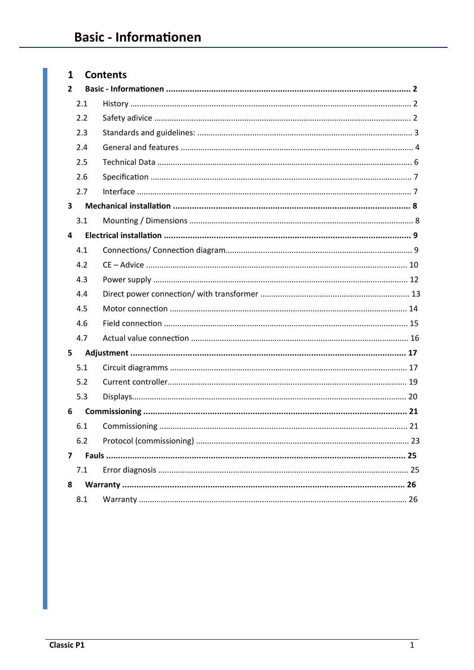# 1 Contents

| $\overline{2}$ |     |    |  |
|----------------|-----|----|--|
|                | 2.1 |    |  |
|                | 2.2 |    |  |
|                | 2.3 |    |  |
|                | 2.4 |    |  |
|                | 2.5 |    |  |
|                | 2.6 |    |  |
|                | 2.7 |    |  |
| 3              |     |    |  |
|                | 3.1 |    |  |
| 4              |     |    |  |
|                | 4.1 |    |  |
|                | 4.2 |    |  |
|                | 4.3 |    |  |
|                | 4.4 |    |  |
|                | 4.5 |    |  |
|                | 4.6 |    |  |
|                | 4.7 |    |  |
| 5              |     |    |  |
|                | 5.1 |    |  |
|                | 5.2 |    |  |
|                | 5.3 |    |  |
| 6              |     |    |  |
|                | 6.1 |    |  |
|                | 6.2 | 23 |  |
| 7              |     |    |  |
|                | 7.1 |    |  |
| 8              |     |    |  |
|                | 8.1 |    |  |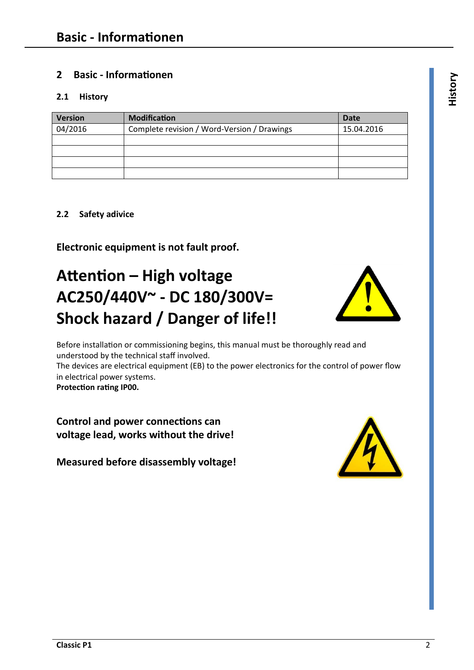# **2 Basic - Informationen <sup>y</sup>**

# **2.1 History**

| <b>Version</b> | <b>Modification</b>                         | <b>Date</b> |
|----------------|---------------------------------------------|-------------|
| 04/2016        | Complete revision / Word-Version / Drawings | 15.04.2016  |
|                |                                             |             |
|                |                                             |             |
|                |                                             |             |
|                |                                             |             |

# **2.2 Safety adivice**

**Electronic equipment is not fault proof.** 

# **Attention – High voltage AC250/440V~ - DC 180/300V= Shock hazard / Danger of life!!**



Before installation or commissioning begins, this manual must be thoroughly read and understood by the technical staff involved. The devices are electrical equipment (EB) to the power electronics for the control of power flow in electrical power systems. **Protection rating IP00.** 

**Control and power connections can voltage lead, works without the drive!** 

**Measured before disassembly voltage!** 

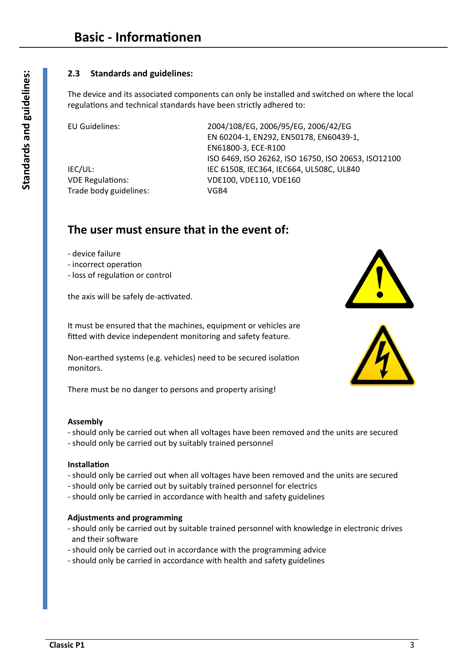## **2.3 Standards and guidelines:**

The device and its associated components can only be installed and switched on where the local regulations and technical standards have been strictly adhered to:

Trade body guidelines: VGB4

EU Guidelines: 2004/108/EG, 2006/95/EG, 2006/42/EG EN 60204-1, EN292, EN50178, EN60439-1, EN61800-3, ECE-R100 ISO 6469, ISO 26262, ISO 16750, ISO 20653, ISO12100 IEC/UL: IEC 61508, IEC364, IEC664, UL508C, UL840 VDE Regulations: VDE100, VDE110, VDE160

# **The user must ensure that in the event of:**

- device failure
- incorrect operation
- loss of regulation or control

the axis will be safely de-activated.

It must be ensured that the machines, equipment or vehicles are fitted with device independent monitoring and safety feature.

Non-earthed systems (e.g. vehicles) need to be secured isolation monitors.

There must be no danger to persons and property arising!

#### **Assembly**

- should only be carried out when all voltages have been removed and the units are secured
- should only be carried out by suitably trained personnel

#### **Installation**

- should only be carried out when all voltages have been removed and the units are secured
- should only be carried out by suitably trained personnel for electrics
- should only be carried in accordance with health and safety guidelines

#### **Adjustments and programming**

- should only be carried out by suitable trained personnel with knowledge in electronic drives and their software
- should only be carried out in accordance with the programming advice
- should only be carried in accordance with health and safety guidelines



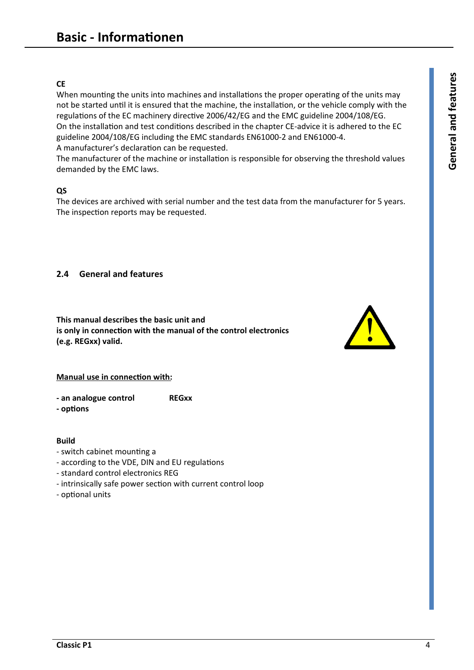# **CE**

When mounting the units into machines and installations the proper operating of the units may not be started until it is ensured that the machine, the installation, or the vehicle comply with the regulations of the EC machinery directive 2006/42/EG and the EMC guideline 2004/108/EG. On the installation and test conditions described in the chapter CE-advice it is adhered to the EC guideline 2004/108/EG including the EMC standards EN61000-2 and EN61000-4. A manufacturer's declaration can be requested.

The manufacturer of the machine or installation is responsible for observing the threshold values demanded by the EMC laws.

#### **QS**

The devices are archived with serial number and the test data from the manufacturer for 5 years. The inspection reports may be requested.

## **2.4 General and features**

**This manual describes the basic unit and is only in connection with the manual of the control electronics (e.g. REGxx) valid.** 



#### **Manual use in connection with:**

- **an analogue control REGxx**
- **options**

#### **Build**

- switch cabinet mounting a
- according to the VDE, DIN and EU regulations
- standard control electronics REG
- intrinsically safe power section with current control loop
- optional units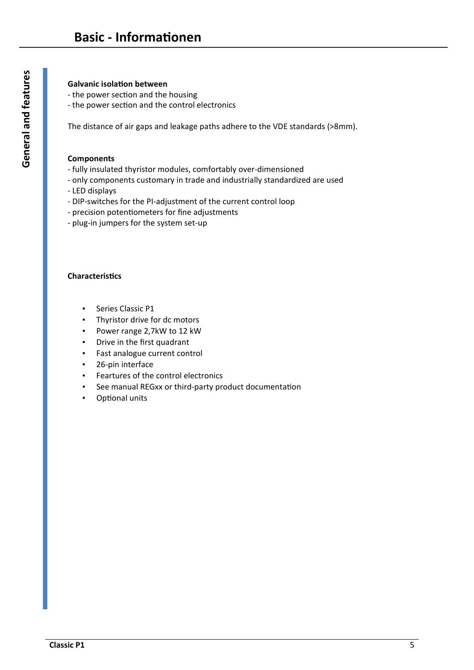#### **Galvanic isolation between**

- the power section and the housing
- the power section and the control electronics

The distance of air gaps and leakage paths adhere to the VDE standards (>8mm).

#### **Components**

- fully insulated thyristor modules, comfortably over-dimensioned
- only components customary in trade and industrially standardized are used
- LED displays
- DIP-switches for the PI-adjustment of the current control loop
- precision potentiometers for fine adjustments
- plug-in jumpers for the system set-up

#### **Characteristics**

- Series Classic P1
- Thyristor drive for dc motors
- Power range 2,7kW to 12 kW
- Drive in the first quadrant
- Fast analogue current control
- 26-pin interface
- Feartures of the control electronics
- See manual REGxx or third-party product documentation
- Optional units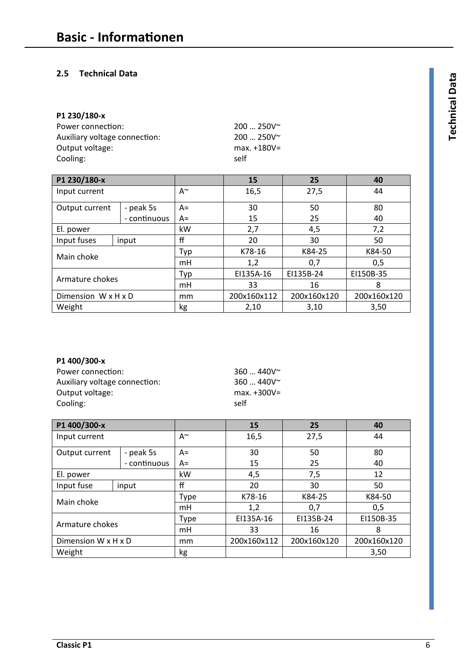## **2.5 Technical Data <sup>a</sup>**

# **P1 230/180-x**

| Power connection:             | $200250V^{\sim}$ |
|-------------------------------|------------------|
| Auxiliary voltage connection: | $200250V^{\sim}$ |
| Output voltage:               | $max.+180V=$     |
| Cooling:                      | self             |

| P1 230/180-x        |              |      | 15          | 25          | 40          |
|---------------------|--------------|------|-------------|-------------|-------------|
| Input current       |              | A~   | 16,5        | 27,5        | 44          |
| Output current      | - peak 5s    | A=   | 30          | 50          | 80          |
|                     | - continuous | $A=$ | 15          | 25          | 40          |
| El. power           |              | kW   | 2,7         | 4,5         | 7,2         |
| Input fuses         | input        | ff   | 20          | 30          | 50          |
| Main choke          |              | Typ  | K78-16      | K84-25      | K84-50      |
|                     |              | mH   | 1,2         | 0,7         | 0,5         |
|                     |              | Typ  | EI135A-16   | EI135B-24   | EI150B-35   |
| Armature chokes     |              | mH   | 33          | 16          | 8           |
| Dimension W x H x D |              | mm   | 200x160x112 | 200x160x120 | 200x160x120 |
| Weight              |              | kg   | 2,10        | 3,10        | 3,50        |

#### **P1 400/300-x**

| Power connection:             | 360  |
|-------------------------------|------|
| Auxiliary voltage connection: | 360  |
| Output voltage:               | max  |
| Cooling:                      | self |

 $360$  ... 440V~  $360...440V^*$ max. +300V=

| P1 400/300-x        |              |      | 15          | 25          | 40          |
|---------------------|--------------|------|-------------|-------------|-------------|
| Input current       |              | A~   | 16,5        | 27,5        | 44          |
| Output current      | - peak 5s    | A=   | 30          | 50          | 80          |
|                     | - continuous | $A=$ | 15          | 25          | 40          |
| El. power           |              | kW   | 4,5         | 7,5         | 12          |
| Input fuse          | input        | ff   | 20          | 30          | 50          |
| Main choke          |              | Type | K78-16      | K84-25      | K84-50      |
|                     |              | mH   | 1,2         | 0,7         | 0,5         |
|                     |              | Type | EI135A-16   | EI135B-24   | EI150B-35   |
| Armature chokes     |              | mH   | 33          | 16          | 8           |
| Dimension W x H x D |              | mm   | 200x160x112 | 200x160x120 | 200x160x120 |
| Weight              |              | kg   |             |             | 3,50        |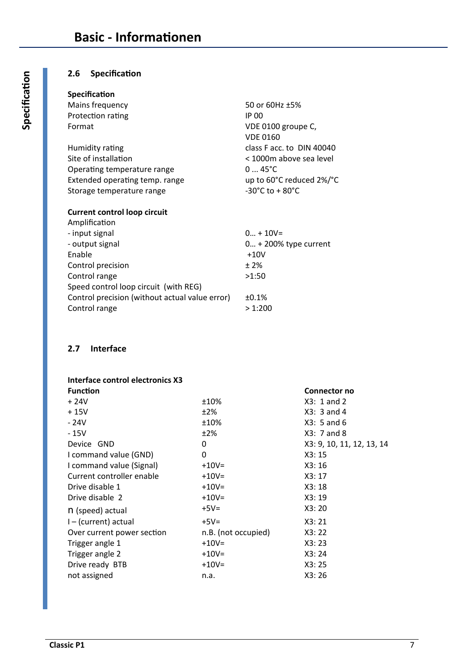## **2.6 Specification**

#### **Specification**

| Mains frequency                | 50 or 60Hz ±5%                       |
|--------------------------------|--------------------------------------|
| Protection rating              | IP 00                                |
| Format                         | VDE 0100 groupe C,                   |
|                                | <b>VDE 0160</b>                      |
| Humidity rating                | class F acc. to DIN 40040            |
| Site of installation           | < 1000m above sea level              |
| Operating temperature range    | $045^{\circ}C$                       |
| Extended operating temp. range | up to 60°C reduced 2%/°C             |
| Storage temperature range      | $-30^{\circ}$ C to + 80 $^{\circ}$ C |
|                                |                                      |

#### **Current control loop circuit**

| Amplification                                  |                          |
|------------------------------------------------|--------------------------|
| - input signal                                 | $0 + 10V =$              |
| - output signal                                | $0 + 200\%$ type current |
| Enable                                         | $+10V$                   |
| Control precision                              | ±2%                      |
| Control range                                  | >1:50                    |
| Speed control loop circuit (with REG)          |                          |
| Control precision (without actual value error) | ±0.1%                    |
| Control range                                  | >1:200                   |
|                                                |                          |

# **2.7 Interface**

## **Interface control electronics X3**

|                     | Connector no              |
|---------------------|---------------------------|
| ±10%                | $X3: 1$ and 2             |
| ±2%                 | $X3: 3$ and 4             |
| ±10%                | $X3: 5$ and 6             |
| ±2%                 | $X3: 7$ and 8             |
| 0                   | X3: 9, 10, 11, 12, 13, 14 |
| 0                   | X3:15                     |
| $+10V =$            | X3:16                     |
| $+10V =$            | X3:17                     |
| $+10V =$            | X3:18                     |
| $+10V =$            | X3:19                     |
| $+5V=$              | X3:20                     |
| $+5V=$              | X3:21                     |
| n.B. (not occupied) | X3:22                     |
| $+10V =$            | X3:23                     |
| $+10V =$            | X3:24                     |
| $+10V =$            | X3:25                     |
| n.a.                | X3:26                     |
|                     |                           |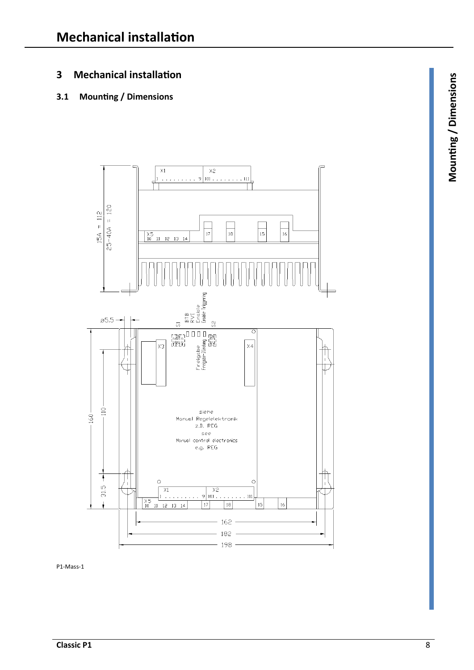# **3 Mechanical installation <sup>s</sup>**

# **3.1 Mounting / Dimensions**



P1-Mass-1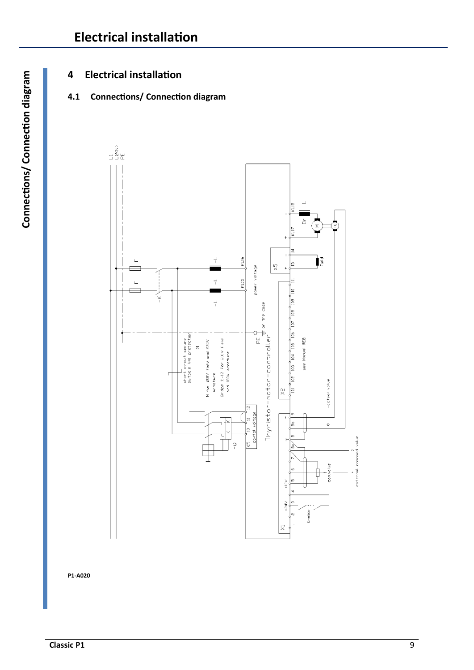# **4 Electrical installation**

# **4.1 Connections/ Connection diagram**



**P1-A020**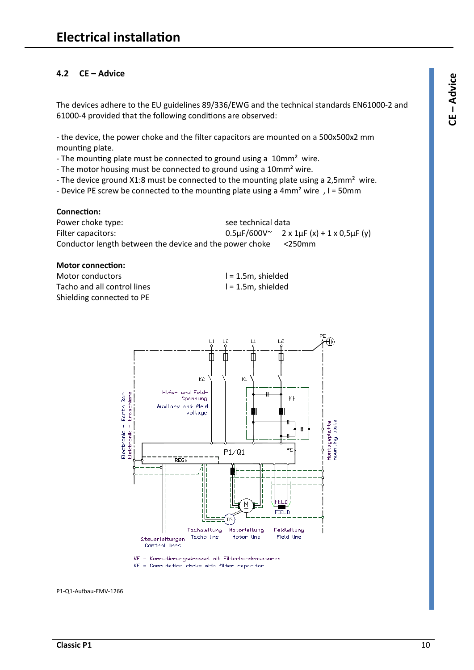## **4.2 CE – Advice <sup>e</sup>**

The devices adhere to the EU guidelines 89/336/EWG and the technical standards EN61000-2 and 61000-4 provided that the following conditions are observed:

- the device, the power choke and the filter capacitors are mounted on a 500x500x2 mm mounting plate.

- The mounting plate must be connected to ground using a 10mm<sup>2</sup> wire.

- The motor housing must be connected to ground using a 10mm<sup>2</sup> wire.

- The device ground X1:8 must be connected to the mounting plate using a 2,5mm<sup>2</sup> wire.
- Device PE screw be connected to the mounting plate using a 4mm² wire , I = 50mm

#### **Connection:**

Power choke type: see technical data Filter capacitors:  $0.5\mu\text{F}/600\text{V}$   $2 \times 1\mu\text{F}$   $(x) + 1 \times 0.5\mu\text{F}$  (y) Conductor length between the device and the power choke <250mm

#### **Motor connection:**

Motor conductors and l = 1.5m, shielded Tacho and all control lines l = 1.5m, shielded Shielding connected to PE



KF = Kommutierungsdrossel mit Filterkondensatoren KF = Commutation choke with filter capacitor

P1-Q1-Aufbau-EMV-1266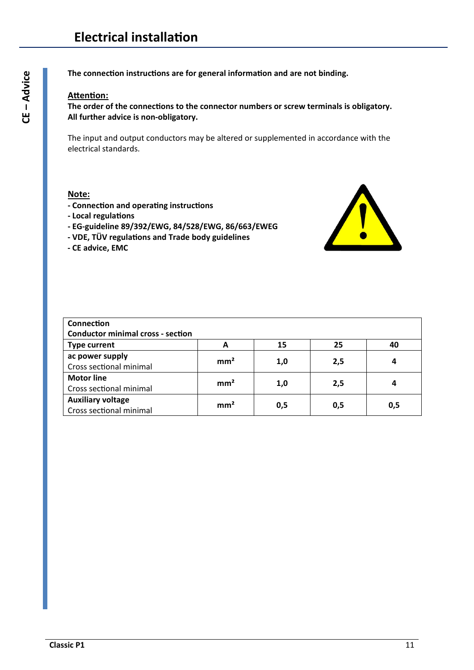**The connection instructions are for general information and are not binding.** 

#### **Attention:**

**The order of the connections to the connector numbers or screw terminals is obligatory. All further advice is non-obligatory.** 

The input and output conductors may be altered or supplemented in accordance with the electrical standards.

#### **Note:**

- **Connection and operating instructions**
- **Local regulations**
- **EG-guideline 89/392/EWG, 84/528/EWG, 86/663/EWEG**
- **VDE, TÜV regulations and Trade body guidelines**
- **CE advice, EMC**



| Connection                               |                 |     |     |     |
|------------------------------------------|-----------------|-----|-----|-----|
| <b>Conductor minimal cross - section</b> |                 |     |     |     |
| <b>Type current</b>                      | A               | 15  | 25  | 40  |
| ac power supply                          | mm <sup>2</sup> |     |     | 4   |
| Cross sectional minimal                  |                 | 1,0 | 2,5 |     |
| <b>Motor line</b>                        | mm <sup>2</sup> |     |     | 4   |
| Cross sectional minimal                  |                 | 1,0 | 2,5 |     |
| <b>Auxiliary voltage</b>                 | mm <sup>2</sup> |     |     |     |
| Cross sectional minimal                  |                 | 0,5 | 0,5 | 0,5 |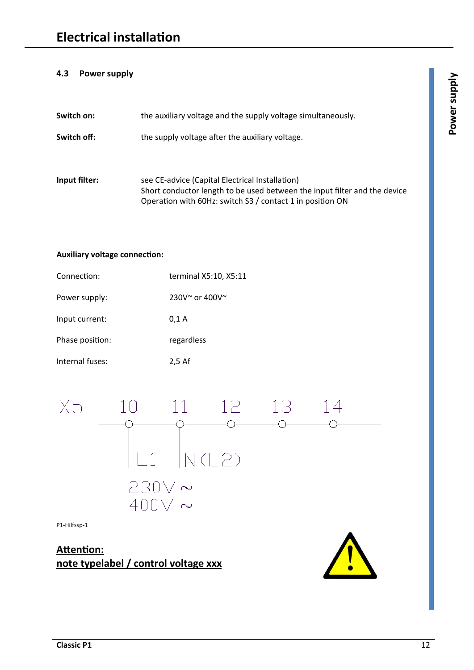## **4.3 Power supply <sup>y</sup>**

| Switch on:    | the auxiliary voltage and the supply voltage simultaneously.                                                                                                                              |
|---------------|-------------------------------------------------------------------------------------------------------------------------------------------------------------------------------------------|
| Switch off:   | the supply voltage after the auxiliary voltage.                                                                                                                                           |
| Input filter: | see CE-advice (Capital Electrical Installation)<br>Short conductor length to be used between the input filter and the device<br>Operation with 60Hz: switch S3 / contact 1 in position ON |

#### **Auxiliary voltage connection:**

| Connection:     | terminal X5:10, X5:11           |
|-----------------|---------------------------------|
| Power supply:   | $230V^{\sim}$ or 400V $^{\sim}$ |
| Input current:  | 0.1 A                           |
| Phase position: | regardless                      |
| Internal fuses: | $2,5$ Af                        |



P1-Hilfssp-1

**Attention: note typelabel / control voltage xxx** 

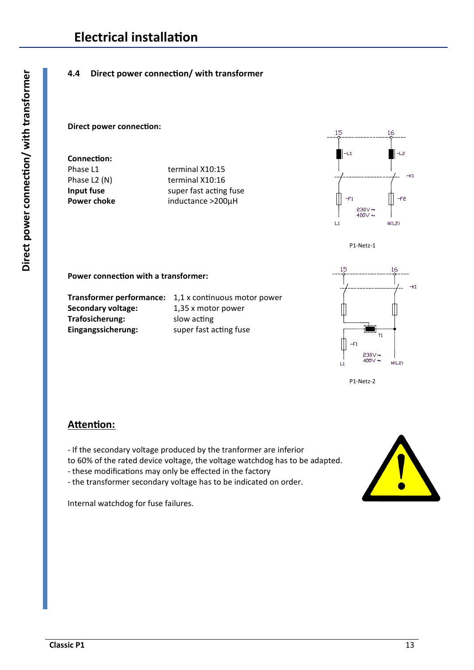# **4.4 Direct power connection/ with transformer**

#### **Direct power connection:**

**Connection:** 

Phase L1 terminal X10:15 Phase L2 (N) terminal X10:16 **Input fuse super fast acting fuse** Power choke **inductance >200µH** 





**Power connection with a transformer:** 

**Secondary voltage:** 1,35 x motor power **Trafosicherung:** slow acting **Eingangssicherung:** super fast acting fuse

**Transformer performance:** 1,1 x continuous motor power



P1-Netz-2

# **Attention:**

- If the secondary voltage produced by the tranformer are inferior

to 60% of the rated device voltage, the voltage watchdog has to be adapted.

- these modifications may only be effected in the factory
- the transformer secondary voltage has to be indicated on order.

Internal watchdog for fuse failures.

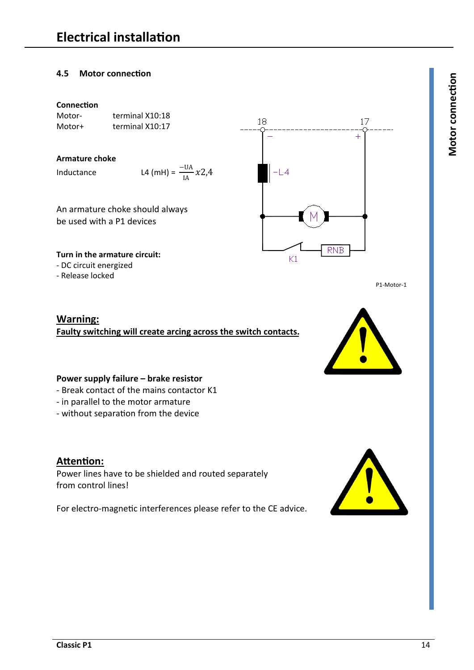# **4.5 Motor connection <sup>n</sup>**

#### **Connection**

Motor- terminal X10:18 Motor+ terminal X10:17

#### **Armature choke**

Inductance L4

$$
4 \text{ (mH)} = \frac{-\text{UA}}{\text{IA}} x2.4
$$

An armature choke should always be used with a P1 devices

#### **Turn in the armature circuit:**

- DC circuit energized
- Release locked

**Warning:** 

**Faulty switching will create arcing across the switch contacts.** 

## **Power supply failure – brake resistor**

- Break contact of the mains contactor K1
- in parallel to the motor armature
- without separation from the device

# **Attention:**

Power lines have to be shielded and routed separately from control lines!

For electro-magnetic interferences please refer to the CE advice.





P1-Motor-1

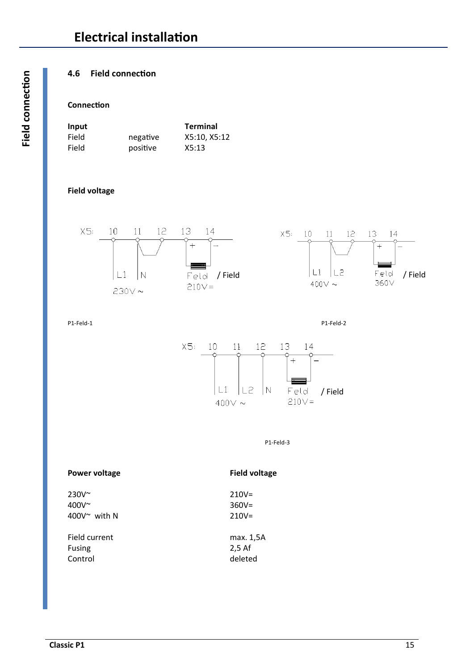# **4.6 Field connection**

### **Connection**

| Input |          | <b>Terminal</b> |
|-------|----------|-----------------|
| Field | negative | X5:10, X5:12    |
| Field | positive | X5:13           |

### **Field voltage**



P1-Feld-1 P1-Feld-2



P1-Feld-3

#### Power voltage **Field voltage Field voltage**

230V~ 210V= 400 $V^{\sim}$ 400 $V^{\sim}$  with N

Fusing Control deleted

| -----                 |           |
|-----------------------|-----------|
| $400V^{\sim}$         | $360V =$  |
| 400 $V^{\sim}$ with N | $210V =$  |
| Field current         | max. 1,5A |
| <b>Fusing</b>         | $2.5$ Af  |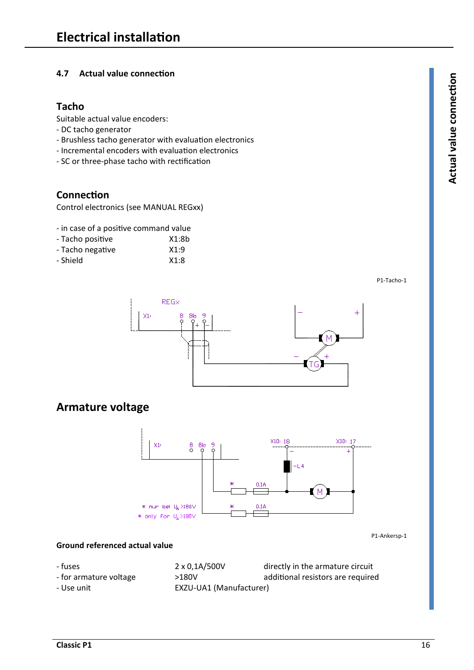## **4.7 Actual value connection <sup>n</sup>**

# **Tacho**

Suitable actual value encoders:

- DC tacho generator
- Brushless tacho generator with evaluation electronics
- Incremental encoders with evaluation electronics
- SC or three-phase tacho with rectification

# **Connection**

Control electronics (see MANUAL REGxx)

- in case of a positive command value
- Tacho positive X1:8b
- Tacho negative X1:9 - Shield X1:8
- 

P1-Tacho-1



# **Armature voltage**



P1-Ankersp-1

#### **Ground referenced actual value**

- fuses 2 x 0,1A/500V directly in the armature circuit
- for armature voltage  $>180V$  additional resistors are required
- Use unit EXZU-UA1 (Manufacturer)

**Actu al v alu econnectio**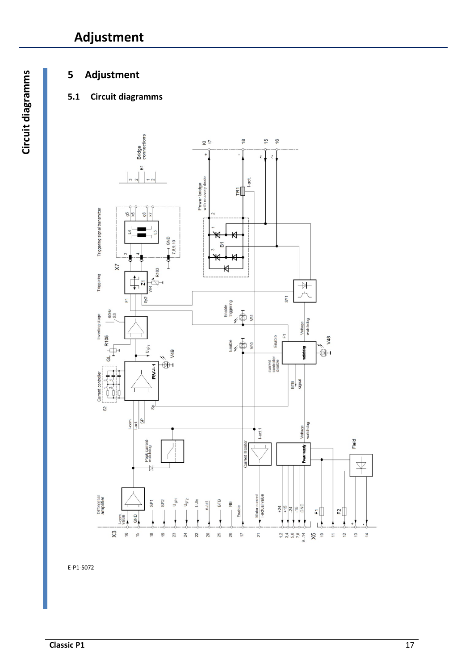# **Adjustment**

# **5 Adjustment**

# **5.1 Circuit diagramms**



E-P1-S072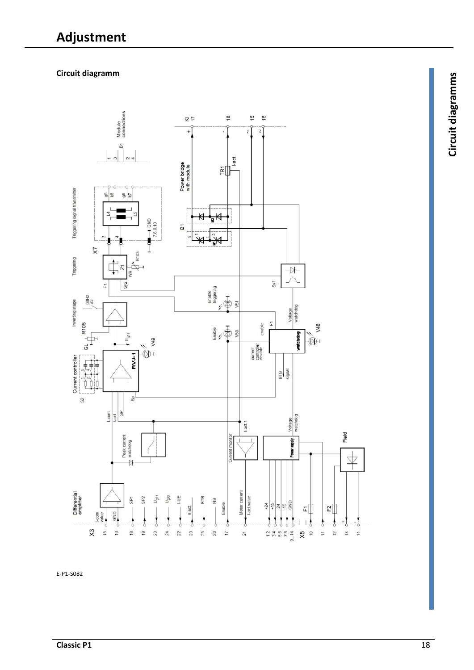# **Circuit diagramm <sup>s</sup>**



E-P1-S082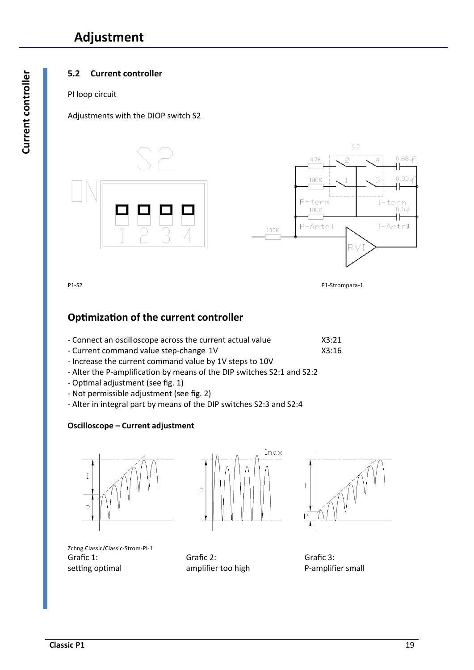# **Adjustment**

# **5.2 Current controller**

#### PI loop circuit

## Adjustments with the DIOP switch S2



P1-S2 P1-Strompara-1

# **Optimization of the current controller**

| - Connect an oscilloscope across the current actual value | X3:21 |
|-----------------------------------------------------------|-------|
|-----------------------------------------------------------|-------|

- Current command value step-change 1V X3:16
- Increase the current command value by 1V steps to 10V
- Alter the P-amplification by means of the DIP switches S2:1 and S2:2
- Optimal adjustment (see fig. 1)
- Not permissible adjustment (see fig. 2)
- Alter in integral part by means of the DIP switches S2:3 and S2:4

## **Oscilloscope – Current adjustment**







Zchng.Classic/Classic-Strom-PI-1 Grafic 1: setting optimal

Grafic 2: amplifier too high

Grafic 3: P-amplifier small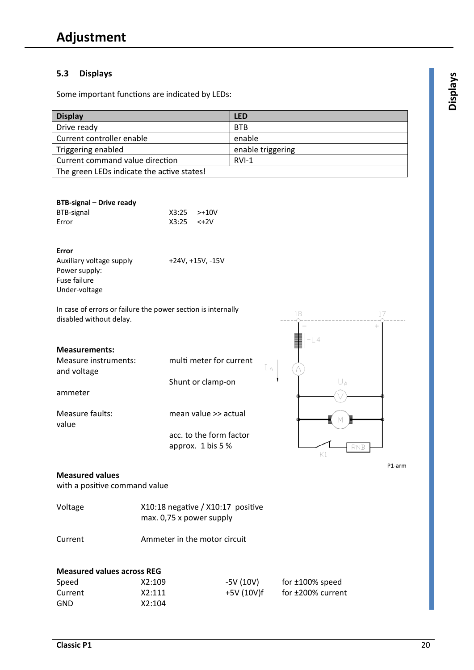# **5.3 Displays <sup>s</sup>**

Some important functions are indicated by LEDs:

| <b>Display</b>                             | <b>LED</b>        |
|--------------------------------------------|-------------------|
| Drive ready                                | <b>BTB</b>        |
| Current controller enable                  | enable            |
| Triggering enabled                         | enable triggering |
| Current command value direction            | $RVI-1$           |
| The green LEDs indicate the active states! |                   |

## **BTB-signal – Drive ready**

| BTB-signal | $X3:25$ $>+10V$     |  |
|------------|---------------------|--|
| Error      | $X3:25 \quad < +2V$ |  |

#### **Error**

Auxiliary voltage supply +24V, +15V, -15V Power supply: Fuse failure Under-voltage

In case of errors or failure the power section is internally disabled without delay.

#### **Measurements:**

| <b>Measure instruments:</b><br>and voltage | multi meter for current                      |  |
|--------------------------------------------|----------------------------------------------|--|
|                                            | Shunt or clamp-on                            |  |
| ammeter                                    |                                              |  |
| Measure faults:<br>value                   | mean value >> actual                         |  |
|                                            | acc. to the form factor<br>approx. 1 bis 5 % |  |



P1-arm

#### **Measured values**

with a positive command value

| Voltage                           |        | X10:18 negative / X10:17 positive<br>max. 0,75 x power supply |                         |  |  |
|-----------------------------------|--------|---------------------------------------------------------------|-------------------------|--|--|
| Current                           |        | Ammeter in the motor circuit                                  |                         |  |  |
| <b>Measured values across REG</b> |        |                                                               |                         |  |  |
| Speed                             | X2:109 | $-5V(10V)$                                                    | for $\pm 100\%$ speed   |  |  |
| Current                           | X2:111 | $+5V(10V)f$                                                   | for $\pm 200\%$ current |  |  |
| <b>GND</b>                        | X2:104 |                                                               |                         |  |  |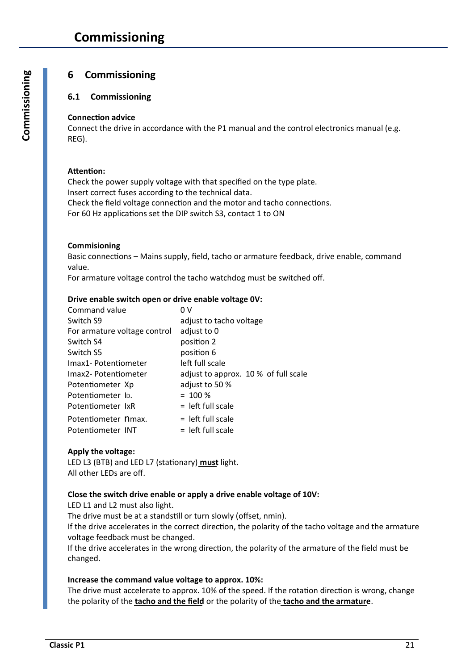# **6 Commissioning**

## **6.1 Commissioning**

#### **Connection advice**

Connect the drive in accordance with the P1 manual and the control electronics manual (e.g. REG).

#### **Attention:**

Check the power supply voltage with that specified on the type plate. Insert correct fuses according to the technical data. Check the field voltage connection and the motor and tacho connections. For 60 Hz applications set the DIP switch S3, contact 1 to ON

### **Commisioning**

Basic connections – Mains supply, field, tacho or armature feedback, drive enable, command value.

For armature voltage control the tacho watchdog must be switched off.

#### **Drive enable switch open or drive enable voltage 0V:**

| Command value                | 0 V                                  |
|------------------------------|--------------------------------------|
| Switch S9                    | adjust to tacho voltage              |
| For armature voltage control | adjust to 0                          |
| Switch S4                    | position 2                           |
| Switch S5                    | position 6                           |
| Imax1- Potentiometer         | left full scale                      |
| Imax2- Potentiometer         | adjust to approx. 10 % of full scale |
| Potentiometer Xp             | adjust to 50 %                       |
| Potentiometer ID.            | $= 100 %$                            |
| Potentiometer IxR            | $=$ left full scale                  |
| Potentiometer nmax.          | $=$ left full scale                  |
| Potentiometer INT            | $=$ left full scale                  |

## **Apply the voltage:**

LED L3 (BTB) and LED L7 (stationary) **must** light. All other LEDs are off.

#### **Close the switch drive enable or apply a drive enable voltage of 10V:**

LED L1 and L2 must also light.

The drive must be at a standstill or turn slowly (offset, nmin).

If the drive accelerates in the correct direction, the polarity of the tacho voltage and the armature voltage feedback must be changed.

If the drive accelerates in the wrong direction, the polarity of the armature of the field must be changed.

#### **Increase the command value voltage to approx. 10%:**

The drive must accelerate to approx. 10% of the speed. If the rotation direction is wrong, change the polarity of the **tacho and the field** or the polarity of the **tacho and the armature**.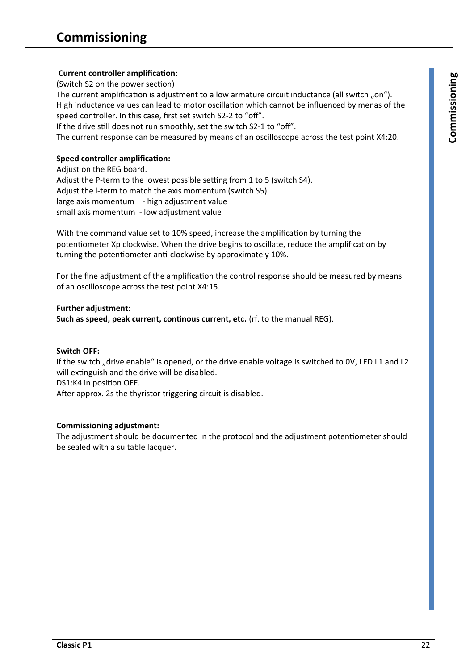# **Current controller amplification: <sup>g</sup>**

(Switch S2 on the power section)

The current amplification is adjustment to a low armature circuit inductance (all switch "on"). High inductance values can lead to motor oscillation which cannot be influenced by menas of the speed controller. In this case, first set switch S2-2 to "off".

If the drive still does not run smoothly, set the switch S2-1 to "off".

The current response can be measured by means of an oscilloscope across the test point X4:20.

# **Speed controller amplification:**

Adjust on the REG board. Adjust the P-term to the lowest possible setting from 1 to 5 (switch S4). Adjust the l-term to match the axis momentum (switch S5). large axis momentum - high adjustment value small axis momentum - low adjustment value

With the command value set to 10% speed, increase the amplification by turning the potentiometer Xp clockwise. When the drive begins to oscillate, reduce the amplification by turning the potentiometer anti-clockwise by approximately 10%.

For the fine adjustment of the amplification the control response should be measured by means of an oscilloscope across the test point X4:15.

### **Further adjustment:**

**Such as speed, peak current, continous current, etc.** (rf. to the manual REG).

#### **Switch OFF:**

If the switch "drive enable" is opened, or the drive enable voltage is switched to 0V, LED L1 and L2 will extinguish and the drive will be disabled. DS1:K4 in position OFF. After approx. 2s the thyristor triggering circuit is disabled.

## **Commissioning adjustment:**

The adjustment should be documented in the protocol and the adjustment potentiometer should be sealed with a suitable lacquer.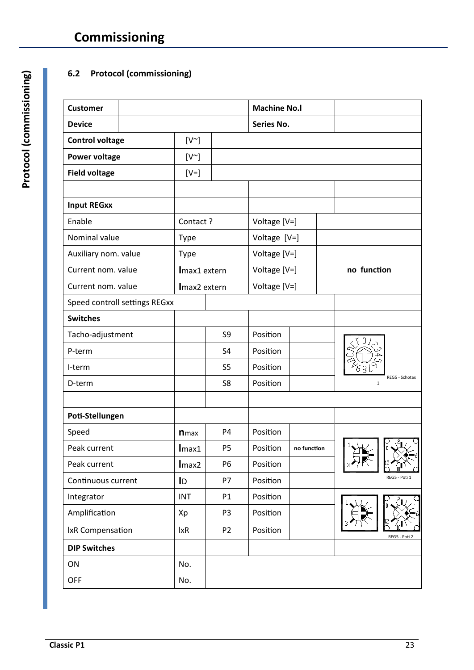# **6.2 Protocol (commissioning)**

| <b>Customer</b>        |                               |                           |                | <b>Machine No.I</b> |             |                               |
|------------------------|-------------------------------|---------------------------|----------------|---------------------|-------------|-------------------------------|
| <b>Device</b>          |                               |                           |                | Series No.          |             |                               |
| <b>Control voltage</b> |                               | $[V^{\sim}]$              |                |                     |             |                               |
| <b>Power voltage</b>   |                               | $[V^{\sim}]$              |                |                     |             |                               |
| <b>Field voltage</b>   |                               | $[V=]$                    |                |                     |             |                               |
|                        |                               |                           |                |                     |             |                               |
| <b>Input REGXX</b>     |                               |                           |                |                     |             |                               |
| Enable                 |                               | Contact?                  |                | Voltage [V=]        |             |                               |
| Nominal value          |                               | <b>Type</b>               |                | Voltage [V=]        |             |                               |
| Auxiliary nom. value   |                               | <b>Type</b>               |                | Voltage [V=]        |             |                               |
| Current nom. value     |                               | Imax1 extern              |                | Voltage [V=]        |             | no function                   |
| Current nom. value     |                               | Imax2 extern              |                | Voltage [V=]        |             |                               |
|                        | Speed controll settings REGxx |                           |                |                     |             |                               |
| <b>Switches</b>        |                               |                           |                |                     |             |                               |
| Tacho-adjustment       |                               |                           | S9             | Position            |             |                               |
| P-term                 |                               |                           | S <sub>4</sub> | Position            |             |                               |
| I-term                 |                               |                           | S <sub>5</sub> | Position            |             |                               |
| D-term                 |                               |                           | S8             | Position            |             | REG5 - Schotax<br>$\mathbf 1$ |
|                        |                               |                           |                |                     |             |                               |
| Poti-Stellungen        |                               |                           |                |                     |             |                               |
| Speed                  |                               | <b>n</b> max              | P4             | Position            |             |                               |
| Peak current           |                               | Imax1                     | P <sub>5</sub> | Position            | no function |                               |
| Peak current           |                               | Imax2                     | P <sub>6</sub> | Position            |             |                               |
| Continuous current     |                               | $\mathsf{I}_{\mathsf{D}}$ | P7             | Position            |             | REG5 - Poti 1                 |
| Integrator             |                               | <b>INT</b>                | P1             | Position            |             | U.                            |
| Amplification          |                               | Xp                        | P <sub>3</sub> | Position            |             |                               |
| IxR Compensation       |                               | $l$ xR                    | P <sub>2</sub> | Position            |             | REG5 - Poti 2                 |
| <b>DIP Switches</b>    |                               |                           |                |                     |             |                               |
| ON                     |                               | No.                       |                |                     |             |                               |
| <b>OFF</b>             |                               | No.                       |                |                     |             |                               |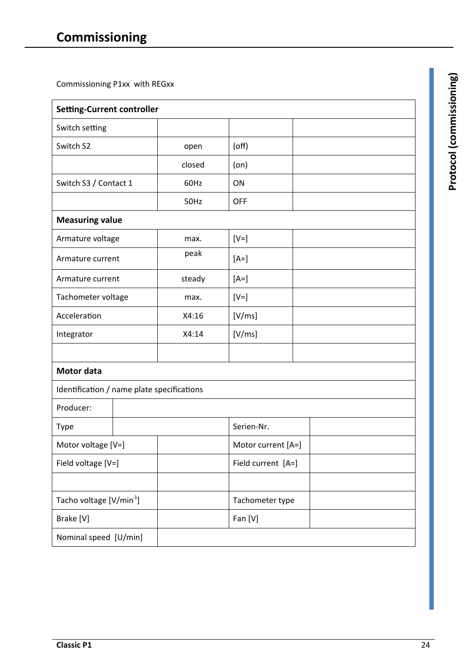Commissioning P1xx with REGxx

| <b>Setting-Current controller</b>          |  |                    |                    |  |
|--------------------------------------------|--|--------------------|--------------------|--|
| Switch setting                             |  |                    |                    |  |
| Switch S2                                  |  | open               | $($ off $)$        |  |
|                                            |  | closed             | (on)               |  |
| Switch S3 / Contact 1                      |  | 60Hz               | ON                 |  |
|                                            |  | 50Hz               | <b>OFF</b>         |  |
| <b>Measuring value</b>                     |  |                    |                    |  |
| Armature voltage                           |  | max.               | $[V=]$             |  |
| Armature current                           |  | peak               | $[A=]$             |  |
| Armature current                           |  | steady             | $[A=]$             |  |
| Tachometer voltage                         |  | max.               | $[V=]$             |  |
| Acceleration                               |  | X4:16              | [V/ms]             |  |
| Integrator                                 |  | X4:14              | [V/ms]             |  |
|                                            |  |                    |                    |  |
| <b>Motor data</b>                          |  |                    |                    |  |
| Identification / name plate specifications |  |                    |                    |  |
| Producer:                                  |  |                    |                    |  |
| Type                                       |  |                    | Serien-Nr.         |  |
| Motor voltage [V=]                         |  |                    | Motor current [A=] |  |
| Field voltage [V=]                         |  | Field current [A=] |                    |  |
|                                            |  |                    |                    |  |
| Tacho voltage [V/min <sup>1</sup> ]        |  | Tachometer type    |                    |  |
| Brake [V]                                  |  | Fan [V]            |                    |  |
| Nominal speed [U/min]                      |  |                    |                    |  |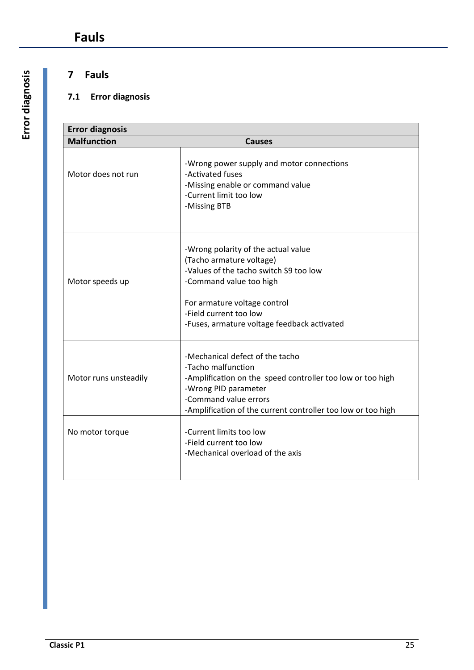# **7 Fauls**

# **7.1 Error diagnosis**

| <b>Error diagnosis</b> |                                                                                                                                             |                                                                                                                              |  |
|------------------------|---------------------------------------------------------------------------------------------------------------------------------------------|------------------------------------------------------------------------------------------------------------------------------|--|
| <b>Malfunction</b>     |                                                                                                                                             | <b>Causes</b>                                                                                                                |  |
| Motor does not run     | -Wrong power supply and motor connections<br>-Activated fuses<br>-Missing enable or command value<br>-Current limit too low<br>-Missing BTB |                                                                                                                              |  |
| Motor speeds up        | (Tacho armature voltage)<br>-Command value too high<br>For armature voltage control<br>-Field current too low                               | -Wrong polarity of the actual value<br>-Values of the tacho switch S9 too low<br>-Fuses, armature voltage feedback activated |  |
| Motor runs unsteadily  | -Mechanical defect of the tacho<br>-Tacho malfunction<br>-Wrong PID parameter<br>-Command value errors                                      | -Amplification on the speed controller too low or too high<br>-Amplification of the current controller too low or too high   |  |
| No motor torque        | -Current limits too low<br>-Field current too low                                                                                           | -Mechanical overload of the axis                                                                                             |  |